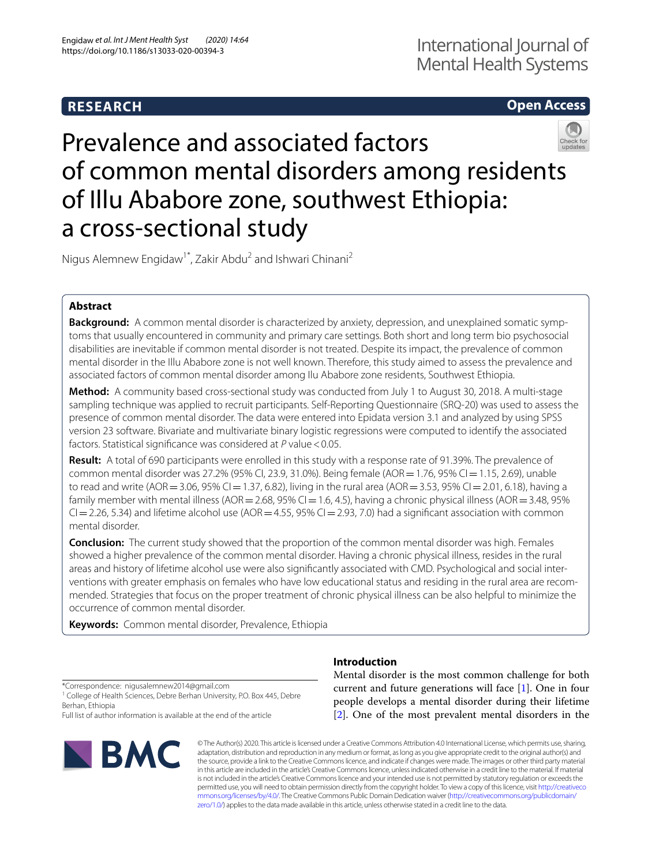# **RESEARCH**

# **Open Access**



# Prevalence and associated factors of common mental disorders among residents of Illu Ababore zone, southwest Ethiopia: a cross-sectional study

Nigus Alemnew Engidaw<sup>1\*</sup>, Zakir Abdu<sup>2</sup> and Ishwari Chinani<sup>2</sup>

# **Abstract**

**Background:** A common mental disorder is characterized by anxiety, depression, and unexplained somatic symptoms that usually encountered in community and primary care settings. Both short and long term bio psychosocial disabilities are inevitable if common mental disorder is not treated. Despite its impact, the prevalence of common mental disorder in the Illu Ababore zone is not well known. Therefore, this study aimed to assess the prevalence and associated factors of common mental disorder among Ilu Ababore zone residents, Southwest Ethiopia.

**Method:** A community based cross-sectional study was conducted from July 1 to August 30, 2018. A multi-stage sampling technique was applied to recruit participants. Self-Reporting Questionnaire (SRQ-20) was used to assess the presence of common mental disorder. The data were entered into Epidata version 3.1 and analyzed by using SPSS version 23 software. Bivariate and multivariate binary logistic regressions were computed to identify the associated factors. Statistical significance was considered at P value < 0.05.

**Result:** A total of 690 participants were enrolled in this study with a response rate of 91.39%. The prevalence of common mental disorder was 27.2% (95% CI, 23.9, 31.0%). Being female (AOR = 1.76, 95% CI = 1.15, 2.69), unable to read and write (AOR = 3.06, 95% CI = 1.37, 6.82), living in the rural area (AOR = 3.53, 95% CI = 2.01, 6.18), having a family member with mental illness (AOR = 2.68, 95% CI = 1.6, 4.5), having a chronic physical illness (AOR = 3.48, 95%  $Cl = 2.26, 5.34$ ) and lifetime alcohol use (AOR = 4.55, 95% CI = 2.93, 7.0) had a significant association with common mental disorder.

**Conclusion:** The current study showed that the proportion of the common mental disorder was high. Females showed a higher prevalence of the common mental disorder. Having a chronic physical illness, resides in the rural areas and history of lifetime alcohol use were also signifcantly associated with CMD. Psychological and social interventions with greater emphasis on females who have low educational status and residing in the rural area are recommended. Strategies that focus on the proper treatment of chronic physical illness can be also helpful to minimize the occurrence of common mental disorder.

**Keywords:** Common mental disorder, Prevalence, Ethiopia

\*Correspondence: nigusalemnew2014@gmail.com

<sup>1</sup> College of Health Sciences, Debre Berhan University, P.O. Box 445, Debre Berhan, Ethiopia

Full list of author information is available at the end of the article



# **Introduction**

Mental disorder is the most common challenge for both current and future generations will face [[1\]](#page-6-0). One in four people develops a mental disorder during their lifetime [[2\]](#page-6-1). One of the most prevalent mental disorders in the

© The Author(s) 2020. This article is licensed under a Creative Commons Attribution 4.0 International License, which permits use, sharing, adaptation, distribution and reproduction in any medium or format, as long as you give appropriate credit to the original author(s) and the source, provide a link to the Creative Commons licence, and indicate if changes were made. The images or other third party material in this article are included in the article's Creative Commons licence, unless indicated otherwise in a credit line to the material. If material is not included in the article's Creative Commons licence and your intended use is not permitted by statutory regulation or exceeds the permitted use, you will need to obtain permission directly from the copyright holder. To view a copy of this licence, visit [http://creativeco](http://creativecommons.org/licenses/by/4.0/) [mmons.org/licenses/by/4.0/.](http://creativecommons.org/licenses/by/4.0/) The Creative Commons Public Domain Dedication waiver ([http://creativecommons.org/publicdomain/](http://creativecommons.org/publicdomain/zero/1.0/) [zero/1.0/\)](http://creativecommons.org/publicdomain/zero/1.0/) applies to the data made available in this article, unless otherwise stated in a credit line to the data.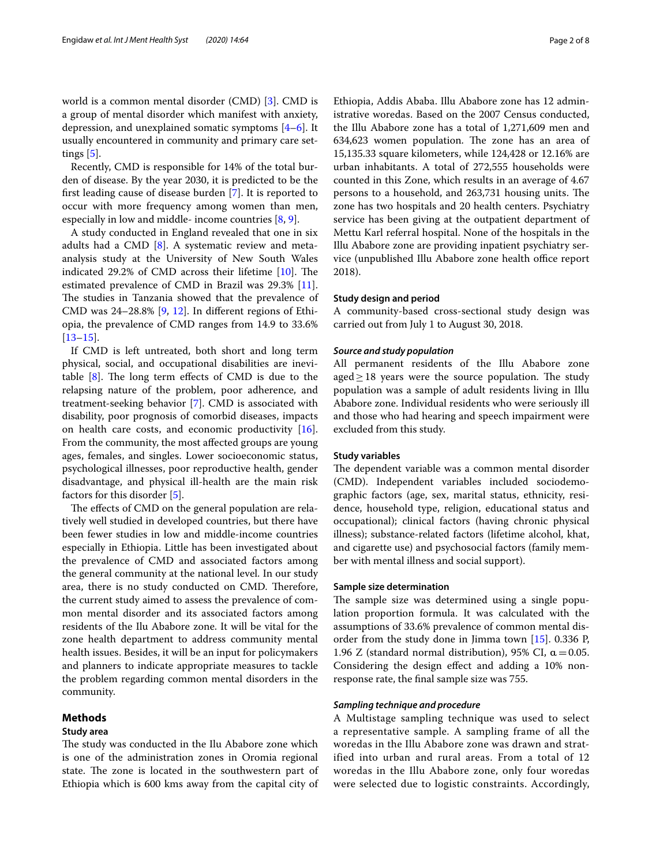world is a common mental disorder (CMD) [\[3](#page-6-2)]. CMD is a group of mental disorder which manifest with anxiety, depression, and unexplained somatic symptoms [\[4](#page-6-3)–[6\]](#page-6-4). It usually encountered in community and primary care settings  $[5]$  $[5]$ .

Recently, CMD is responsible for 14% of the total burden of disease. By the year 2030, it is predicted to be the frst leading cause of disease burden [\[7\]](#page-6-6). It is reported to occur with more frequency among women than men, especially in low and middle- income countries [[8,](#page-6-7) [9](#page-6-8)].

A study conducted in England revealed that one in six adults had a CMD [[8\]](#page-6-7). A systematic review and metaanalysis study at the University of New South Wales indicated 29.2% of CMD across their lifetime  $[10]$ . The estimated prevalence of CMD in Brazil was 29.3% [\[11](#page-6-10)]. The studies in Tanzania showed that the prevalence of CMD was 24–28.8% [\[9](#page-6-8), [12\]](#page-6-11). In diferent regions of Ethiopia, the prevalence of CMD ranges from 14.9 to 33.6% [[13–](#page-7-0)[15](#page-7-1)].

If CMD is left untreated, both short and long term physical, social, and occupational disabilities are inevitable  $[8]$ . The long term effects of CMD is due to the relapsing nature of the problem, poor adherence, and treatment-seeking behavior [[7\]](#page-6-6). CMD is associated with disability, poor prognosis of comorbid diseases, impacts on health care costs, and economic productivity [\[16](#page-7-2)]. From the community, the most afected groups are young ages, females, and singles. Lower socioeconomic status, psychological illnesses, poor reproductive health, gender disadvantage, and physical ill-health are the main risk factors for this disorder [[5\]](#page-6-5).

The effects of CMD on the general population are relatively well studied in developed countries, but there have been fewer studies in low and middle-income countries especially in Ethiopia. Little has been investigated about the prevalence of CMD and associated factors among the general community at the national level. In our study area, there is no study conducted on CMD. Therefore, the current study aimed to assess the prevalence of common mental disorder and its associated factors among residents of the Ilu Ababore zone. It will be vital for the zone health department to address community mental health issues. Besides, it will be an input for policymakers and planners to indicate appropriate measures to tackle the problem regarding common mental disorders in the community.

## **Methods**

#### **Study area**

The study was conducted in the Ilu Ababore zone which is one of the administration zones in Oromia regional state. The zone is located in the southwestern part of Ethiopia which is 600 kms away from the capital city of Ethiopia, Addis Ababa. Illu Ababore zone has 12 administrative woredas. Based on the 2007 Census conducted, the Illu Ababore zone has a total of 1,271,609 men and 634,623 women population. The zone has an area of 15,135.33 square kilometers, while 124,428 or 12.16% are urban inhabitants. A total of 272,555 households were counted in this Zone, which results in an average of 4.67 persons to a household, and 263,731 housing units. The zone has two hospitals and 20 health centers. Psychiatry service has been giving at the outpatient department of Mettu Karl referral hospital. None of the hospitals in the Illu Ababore zone are providing inpatient psychiatry service (unpublished Illu Ababore zone health office report 2018).

#### **Study design and period**

A community-based cross-sectional study design was carried out from July 1 to August 30, 2018.

#### *Source and study population*

All permanent residents of the Illu Ababore zone aged $>18$  years were the source population. The study population was a sample of adult residents living in Illu Ababore zone. Individual residents who were seriously ill and those who had hearing and speech impairment were excluded from this study.

### **Study variables**

The dependent variable was a common mental disorder (CMD). Independent variables included sociodemographic factors (age, sex, marital status, ethnicity, residence, household type, religion, educational status and occupational); clinical factors (having chronic physical illness); substance-related factors (lifetime alcohol, khat, and cigarette use) and psychosocial factors (family member with mental illness and social support).

## **Sample size determination**

The sample size was determined using a single population proportion formula. It was calculated with the assumptions of 33.6% prevalence of common mental disorder from the study done in Jimma town [\[15\]](#page-7-1). 0.336 P, 1.96 Z (standard normal distribution), 95% CI,  $\alpha$  = 0.05. Considering the design efect and adding a 10% nonresponse rate, the fnal sample size was 755.

# *Sampling technique and procedure*

A Multistage sampling technique was used to select a representative sample. A sampling frame of all the woredas in the Illu Ababore zone was drawn and stratified into urban and rural areas. From a total of 12 woredas in the Illu Ababore zone, only four woredas were selected due to logistic constraints. Accordingly,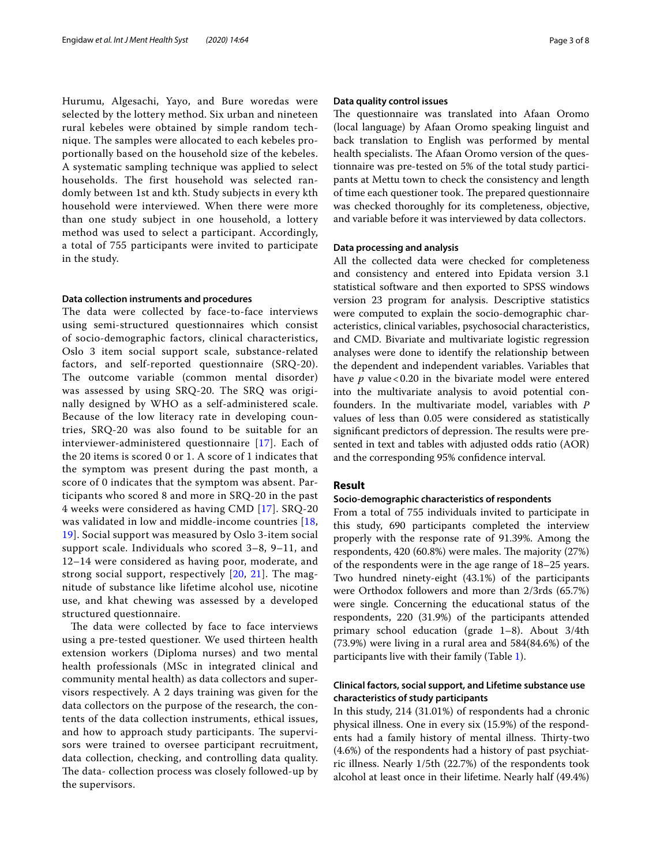Hurumu, Algesachi, Yayo, and Bure woredas were selected by the lottery method. Six urban and nineteen rural kebeles were obtained by simple random technique. The samples were allocated to each kebeles proportionally based on the household size of the kebeles. A systematic sampling technique was applied to select households. The first household was selected randomly between 1st and kth. Study subjects in every kth household were interviewed. When there were more than one study subject in one household, a lottery method was used to select a participant. Accordingly, a total of 755 participants were invited to participate in the study.

## **Data collection instruments and procedures**

The data were collected by face-to-face interviews using semi-structured questionnaires which consist of socio-demographic factors, clinical characteristics, Oslo 3 item social support scale, substance-related factors, and self-reported questionnaire (SRQ-20). The outcome variable (common mental disorder) was assessed by using SRQ-20. The SRQ was originally designed by WHO as a self-administered scale. Because of the low literacy rate in developing countries, SRQ-20 was also found to be suitable for an interviewer-administered questionnaire [\[17\]](#page-7-3). Each of the 20 items is scored 0 or 1. A score of 1 indicates that the symptom was present during the past month, a score of 0 indicates that the symptom was absent. Participants who scored 8 and more in SRQ-20 in the past 4 weeks were considered as having CMD [[17\]](#page-7-3). SRQ-20 was validated in low and middle-income countries [[18](#page-7-4), [19\]](#page-7-5). Social support was measured by Oslo 3-item social support scale. Individuals who scored 3–8, 9–11, and 12–14 were considered as having poor, moderate, and strong social support, respectively [[20,](#page-7-6) [21](#page-7-7)]. The magnitude of substance like lifetime alcohol use, nicotine use, and khat chewing was assessed by a developed structured questionnaire.

The data were collected by face to face interviews using a pre-tested questioner. We used thirteen health extension workers (Diploma nurses) and two mental health professionals (MSc in integrated clinical and community mental health) as data collectors and supervisors respectively. A 2 days training was given for the data collectors on the purpose of the research, the contents of the data collection instruments, ethical issues, and how to approach study participants. The supervisors were trained to oversee participant recruitment, data collection, checking, and controlling data quality. The data- collection process was closely followed-up by the supervisors.

## **Data quality control issues**

The questionnaire was translated into Afaan Oromo (local language) by Afaan Oromo speaking linguist and back translation to English was performed by mental health specialists. The Afaan Oromo version of the questionnaire was pre-tested on 5% of the total study participants at Mettu town to check the consistency and length of time each questioner took. The prepared questionnaire was checked thoroughly for its completeness, objective, and variable before it was interviewed by data collectors.

#### **Data processing and analysis**

All the collected data were checked for completeness and consistency and entered into Epidata version 3.1 statistical software and then exported to SPSS windows version 23 program for analysis. Descriptive statistics were computed to explain the socio-demographic characteristics, clinical variables, psychosocial characteristics, and CMD. Bivariate and multivariate logistic regression analyses were done to identify the relationship between the dependent and independent variables. Variables that have *p* value < 0.20 in the bivariate model were entered into the multivariate analysis to avoid potential confounders. In the multivariate model, variables with *P* values of less than 0.05 were considered as statistically significant predictors of depression. The results were presented in text and tables with adjusted odds ratio (AOR) and the corresponding 95% confdence interval.

## **Result**

# **Socio‑demographic characteristics of respondents**

From a total of 755 individuals invited to participate in this study, 690 participants completed the interview properly with the response rate of 91.39%. Among the respondents, 420 (60.8%) were males. The majority  $(27%)$ of the respondents were in the age range of 18–25 years. Two hundred ninety-eight (43.1%) of the participants were Orthodox followers and more than 2/3rds (65.7%) were single. Concerning the educational status of the respondents, 220 (31.9%) of the participants attended primary school education (grade 1–8). About 3/4th (73.9%) were living in a rural area and 584(84.6%) of the participants live with their family (Table [1](#page-3-0)).

# **Clinical factors, social support, and Lifetime substance use characteristics of study participants**

In this study, 214 (31.01%) of respondents had a chronic physical illness. One in every six (15.9%) of the respondents had a family history of mental illness. Thirty-two (4.6%) of the respondents had a history of past psychiatric illness. Nearly 1/5th (22.7%) of the respondents took alcohol at least once in their lifetime. Nearly half (49.4%)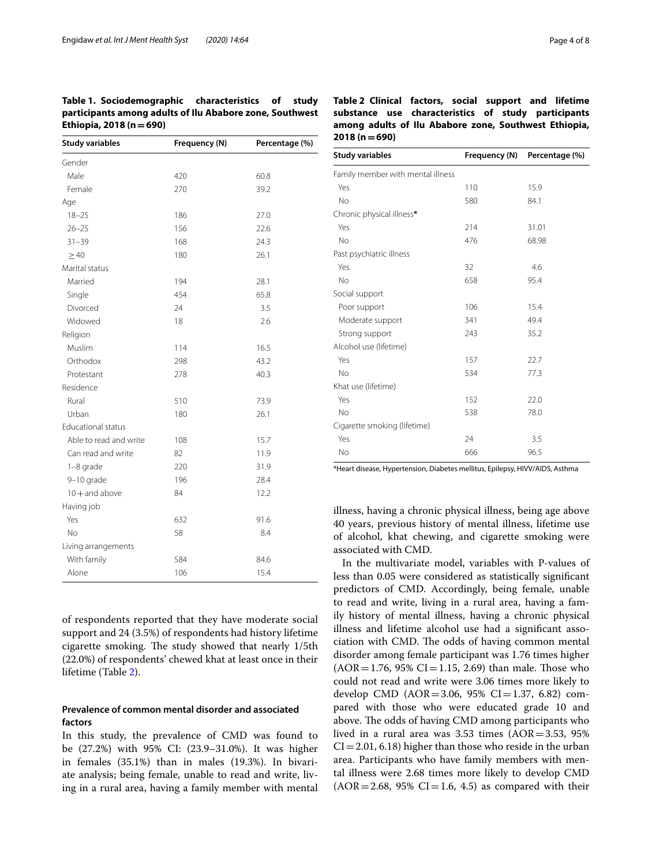<span id="page-3-0"></span>

| Table 1. Sociodemographic characteristics of study       |  |  |
|----------------------------------------------------------|--|--|
| participants among adults of Ilu Ababore zone, Southwest |  |  |
| Ethiopia, 2018 ( $n = 690$ )                             |  |  |

| <b>Study variables</b>    | Frequency (N) | Percentage (%) |
|---------------------------|---------------|----------------|
| Gender                    |               |                |
| Male                      | 420           | 60.8           |
| Female                    | 270           | 39.2           |
| Age                       |               |                |
| $18 - 25$                 | 186           | 27.0           |
| $26 - 25$                 | 156           | 22.6           |
| $31 - 39$                 | 168           | 24.3           |
| $\geq 40$                 | 180           | 26.1           |
| Marital status            |               |                |
| Married                   | 194           | 28.1           |
| Single                    | 454           | 65.8           |
| Divorced                  | 24            | 3.5            |
| Widowed                   | 18            | 2.6            |
| Religion                  |               |                |
| Muslim                    | 114           | 16.5           |
| Orthodox                  | 298           | 43.2           |
| Protestant                | 278           | 40.3           |
| Residence                 |               |                |
| Rural                     | 510           | 73.9           |
| Urban                     | 180           | 26.1           |
| <b>Educational status</b> |               |                |
| Able to read and write    | 108           | 15.7           |
| Can read and write        | 82            | 11.9           |
| $1-8$ grade               | 220           | 31.9           |
| 9-10 grade                | 196           | 28.4           |
| $10 +$ and above          | 84            | 12.2           |
| Having job                |               |                |
| Yes                       | 632           | 91.6           |
| No                        | 58            | 8.4            |
| Living arrangements       |               |                |
| With family               | 584           | 84.6           |
| Alone                     | 106           | 15.4           |

of respondents reported that they have moderate social support and 24 (3.5%) of respondents had history lifetime cigarette smoking. The study showed that nearly 1/5th (22.0%) of respondents' chewed khat at least once in their lifetime (Table [2\)](#page-3-1).

# **Prevalence of common mental disorder and associated factors**

In this study, the prevalence of CMD was found to be (27.2%) with 95% CI: (23.9–31.0%). It was higher in females (35.1%) than in males (19.3%). In bivariate analysis; being female, unable to read and write, living in a rural area, having a family member with mental

<span id="page-3-1"></span>

| Table 2 Clinical factors, social support and lifetime |  |  |  |
|-------------------------------------------------------|--|--|--|
| substance use characteristics of study participants   |  |  |  |
| among adults of Ilu Ababore zone, Southwest Ethiopia, |  |  |  |
| $2018(n=690)$                                         |  |  |  |
|                                                       |  |  |  |

| Study variables                   | Frequency (N) | Percentage (%) |
|-----------------------------------|---------------|----------------|
| Family member with mental illness |               |                |
| Yes                               | 110           | 15.9           |
| <b>No</b>                         | 580           | 84.1           |
| Chronic physical illness*         |               |                |
| Yes                               | 214           | 31.01          |
| <b>No</b>                         | 476           | 68.98          |
| Past psychiatric illness          |               |                |
| Yes                               | 32            | 4.6            |
| <b>No</b>                         | 658           | 95.4           |
| Social support                    |               |                |
| Poor support                      | 106           | 15.4           |
| Moderate support                  | 341           | 49.4           |
| Strong support                    | 243           | 35.2           |
| Alcohol use (lifetime)            |               |                |
| Yes                               | 157           | 22.7           |
| <b>No</b>                         | 534           | 77.3           |
| Khat use (lifetime)               |               |                |
| Yes                               | 152           | 22.0           |
| <b>No</b>                         | 538           | 78.0           |
| Cigarette smoking (lifetime)      |               |                |
| Yes                               | 24            | 3.5            |
| No                                | 666           | 96.5           |

\*Heart disease, Hypertension, Diabetes mellitus, Epilepsy, HIVV/AIDS, Asthma

illness, having a chronic physical illness, being age above 40 years, previous history of mental illness, lifetime use of alcohol, khat chewing, and cigarette smoking were associated with CMD.

In the multivariate model, variables with P-values of less than 0.05 were considered as statistically signifcant predictors of CMD. Accordingly, being female, unable to read and write, living in a rural area, having a family history of mental illness, having a chronic physical illness and lifetime alcohol use had a signifcant association with CMD. The odds of having common mental disorder among female participant was 1.76 times higher  $(AOR = 1.76, 95\% CI = 1.15, 2.69)$  than male. Those who could not read and write were 3.06 times more likely to develop CMD ( $AOR = 3.06$ , 95% CI $= 1.37$ , 6.82) compared with those who were educated grade 10 and above. The odds of having CMD among participants who lived in a rural area was  $3.53$  times (AOR=3.53, 95%)  $CI = 2.01, 6.18$ ) higher than those who reside in the urban area. Participants who have family members with mental illness were 2.68 times more likely to develop CMD  $(AOR = 2.68, 95\% CI = 1.6, 4.5)$  as compared with their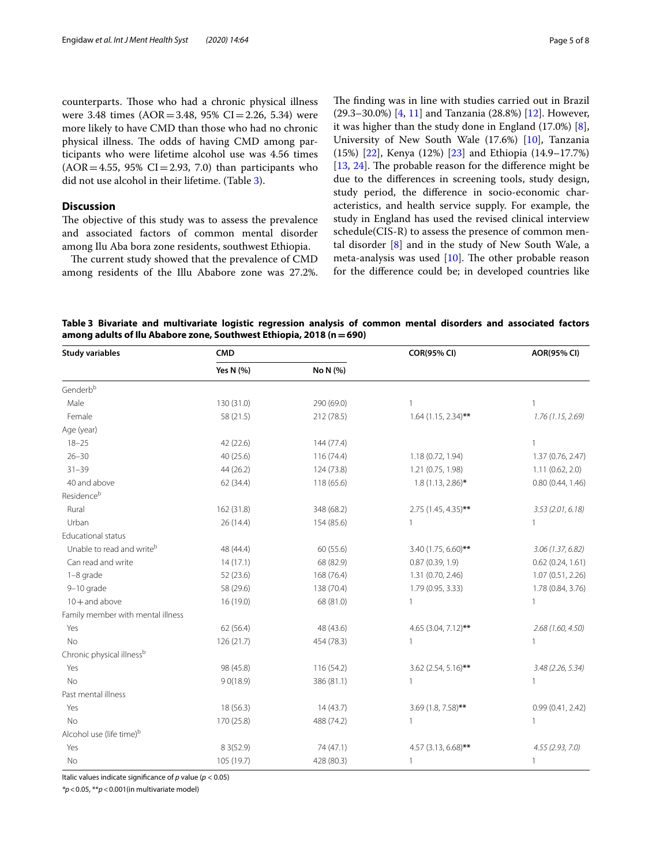counterparts. Those who had a chronic physical illness were 3.48 times  $(AOR = 3.48, 95\% \text{ CI} = 2.26, 5.34)$  were more likely to have CMD than those who had no chronic physical illness. The odds of having CMD among participants who were lifetime alcohol use was 4.56 times  $(AOR = 4.55, 95\% CI = 2.93, 7.0)$  than participants who did not use alcohol in their lifetime. (Table [3\)](#page-4-0).

# **Discussion**

The objective of this study was to assess the prevalence and associated factors of common mental disorder among Ilu Aba bora zone residents, southwest Ethiopia.

The current study showed that the prevalence of CMD among residents of the Illu Ababore zone was 27.2%. The finding was in line with studies carried out in Brazil (29.3–30.0%) [[4,](#page-6-3) [11](#page-6-10)] and Tanzania (28.8%) [\[12](#page-6-11)]. However, it was higher than the study done in England (17.0%) [\[8](#page-6-7)], University of New South Wale (17.6%) [\[10](#page-6-9)], Tanzania (15%) [[22](#page-7-8)], Kenya (12%) [\[23](#page-7-9)] and Ethiopia (14.9–17.7%)  $[13, 24]$  $[13, 24]$  $[13, 24]$  $[13, 24]$ . The probable reason for the difference might be due to the diferences in screening tools, study design, study period, the diference in socio-economic characteristics, and health service supply. For example, the study in England has used the revised clinical interview schedule(CIS-R) to assess the presence of common mental disorder [[8\]](#page-6-7) and in the study of New South Wale, a meta-analysis was used  $[10]$  $[10]$ . The other probable reason for the diference could be; in developed countries like

<span id="page-4-0"></span>**Table 3 Bivariate and multivariate logistic regression analysis of common mental disorders and associated factors among adults of Ilu Ababore zone, Southwest Ethiopia, 2018 (n=690)**

| <b>Study variables</b>                | <b>CMD</b>  |            | <b>COR(95% CI)</b>    | <b>AOR(95% CI)</b>  |
|---------------------------------------|-------------|------------|-----------------------|---------------------|
|                                       | Yes N (%)   | No N (%)   |                       |                     |
| Genderbb                              |             |            |                       |                     |
| Male                                  | 130 (31.0)  | 290 (69.0) | 1                     |                     |
| Female                                | 58 (21.5)   | 212 (78.5) | $1.64$ (1.15, 2.34)** | 1.76(1.15, 2.69)    |
| Age (year)                            |             |            |                       |                     |
| $18 - 25$                             | 42 (22.6)   | 144 (77.4) |                       |                     |
| $26 - 30$                             | 40 (25.6)   | 116(74.4)  | 1.18 (0.72, 1.94)     | 1.37 (0.76, 2.47)   |
| $31 - 39$                             | 44 (26.2)   | 124 (73.8) | 1.21 (0.75, 1.98)     | 1.11(0.62, 2.0)     |
| 40 and above                          | 62 (34.4)   | 118 (65.6) | $1.8(1.13, 2.86)$ *   | 0.80(0.44, 1.46)    |
| Residenceb                            |             |            |                       |                     |
| Rural                                 | 162 (31.8)  | 348 (68.2) | 2.75 (1.45, 4.35)**   | 3.53(2.01, 6.18)    |
| Urban                                 | 26 (14.4)   | 154 (85.6) | 1                     |                     |
| Educational status                    |             |            |                       |                     |
| Unable to read and writeb             | 48 (44.4)   | 60 (55.6)  | 3.40 (1.75, 6.60)**   | 3.06(1.37, 6.82)    |
| Can read and write                    | 14(17.1)    | 68 (82.9)  | 0.87(0.39, 1.9)       | $0.62$ (0.24, 1.61) |
| 1-8 grade                             | 52 (23.6)   | 168 (76.4) | 1.31 (0.70, 2.46)     | 1.07 (0.51, 2.26)   |
| 9-10 grade                            | 58 (29.6)   | 138 (70.4) | 1.79 (0.95, 3.33)     | 1.78 (0.84, 3.76)   |
| $10 +$ and above                      | 16 (19.0)   | 68 (81.0)  | $\mathbf{1}$          |                     |
| Family member with mental illness     |             |            |                       |                     |
| Yes                                   | 62 (56.4)   | 48 (43.6)  | 4.65 (3.04, 7.12)**   | 2.68(1.60, 4.50)    |
| <b>No</b>                             | 126 (21.7)  | 454 (78.3) | $\mathbf{1}$          |                     |
| Chronic physical illness <sup>b</sup> |             |            |                       |                     |
| Yes                                   | 98 (45.8)   | 116 (54.2) | 3.62 (2.54, 5.16)**   | 3.48 (2.26, 5.34)   |
| <b>No</b>                             | 90(18.9)    | 386 (81.1) | 1                     |                     |
| Past mental illness                   |             |            |                       |                     |
| Yes                                   | 18 (56.3)   | 14(43.7)   | 3.69 (1.8, 7.58)**    | 0.99(0.41, 2.42)    |
| <b>No</b>                             | 170 (25.8)  | 488 (74.2) | $\mathbf{1}$          | 1                   |
| Alcohol use (life time) <sup>b</sup>  |             |            |                       |                     |
| Yes                                   | 8 3 (5 2.9) | 74 (47.1)  | 4.57 (3.13, 6.68)**   | 4.55(2.93, 7.0)     |
| No                                    | 105 (19.7)  | 428 (80.3) | $\mathbf{1}$          |                     |

Italic values indicate signifcance of *p* value (*p* < 0.05)

*\*p*<0.05, \*\**p*<0.001(in multivariate model)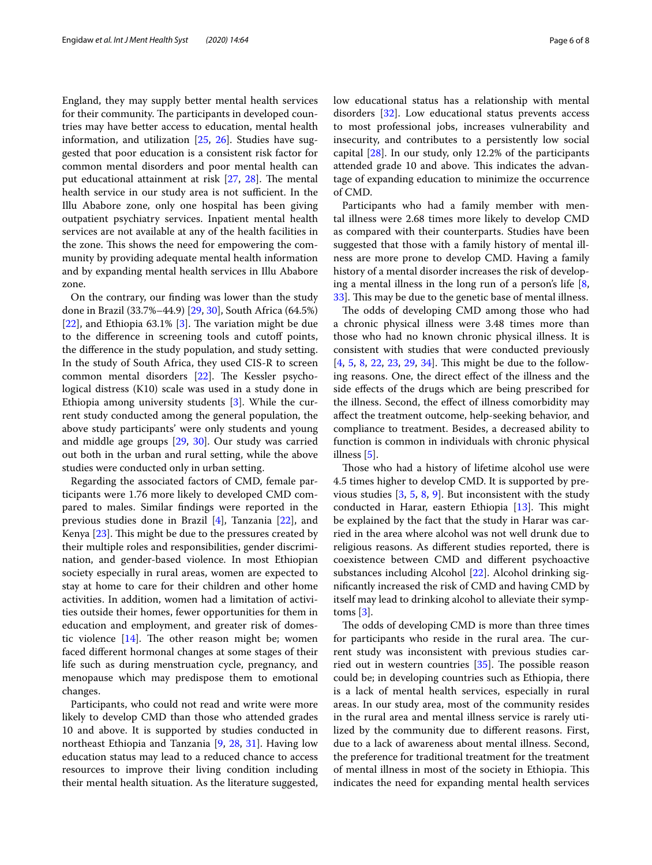England, they may supply better mental health services for their community. The participants in developed countries may have better access to education, mental health information, and utilization  $[25, 26]$  $[25, 26]$  $[25, 26]$  $[25, 26]$ . Studies have suggested that poor education is a consistent risk factor for common mental disorders and poor mental health can put educational attainment at risk  $[27, 28]$  $[27, 28]$  $[27, 28]$  $[27, 28]$ . The mental health service in our study area is not sufficient. In the Illu Ababore zone, only one hospital has been giving outpatient psychiatry services. Inpatient mental health services are not available at any of the health facilities in the zone. This shows the need for empowering the community by providing adequate mental health information and by expanding mental health services in Illu Ababore zone.

On the contrary, our fnding was lower than the study done in Brazil (33.7%–44.9) [\[29](#page-7-15), [30\]](#page-7-16), South Africa (64.5%) [[22\]](#page-7-8), and Ethiopia 63.1% [[3\]](#page-6-2). The variation might be due to the diference in screening tools and cutof points, the diference in the study population, and study setting. In the study of South Africa, they used CIS-R to screen common mental disorders [[22](#page-7-8)]. The Kessler psychological distress (K10) scale was used in a study done in Ethiopia among university students [\[3](#page-6-2)]. While the current study conducted among the general population, the above study participants' were only students and young and middle age groups [[29](#page-7-15), [30](#page-7-16)]. Our study was carried out both in the urban and rural setting, while the above studies were conducted only in urban setting.

Regarding the associated factors of CMD, female participants were 1.76 more likely to developed CMD compared to males. Similar fndings were reported in the previous studies done in Brazil [[4\]](#page-6-3), Tanzania [[22\]](#page-7-8), and Kenya  $[23]$  $[23]$ . This might be due to the pressures created by their multiple roles and responsibilities, gender discrimination, and gender-based violence. In most Ethiopian society especially in rural areas, women are expected to stay at home to care for their children and other home activities. In addition, women had a limitation of activities outside their homes, fewer opportunities for them in education and employment, and greater risk of domestic violence  $[14]$ . The other reason might be; women faced diferent hormonal changes at some stages of their life such as during menstruation cycle, pregnancy, and menopause which may predispose them to emotional changes.

Participants, who could not read and write were more likely to develop CMD than those who attended grades 10 and above. It is supported by studies conducted in northeast Ethiopia and Tanzania [[9,](#page-6-8) [28](#page-7-14), [31\]](#page-7-18). Having low education status may lead to a reduced chance to access resources to improve their living condition including their mental health situation. As the literature suggested, low educational status has a relationship with mental disorders [[32](#page-7-19)]. Low educational status prevents access to most professional jobs, increases vulnerability and insecurity, and contributes to a persistently low social capital [\[28](#page-7-14)]. In our study, only 12.2% of the participants attended grade 10 and above. This indicates the advantage of expanding education to minimize the occurrence of CMD.

Participants who had a family member with mental illness were 2.68 times more likely to develop CMD as compared with their counterparts. Studies have been suggested that those with a family history of mental illness are more prone to develop CMD. Having a family history of a mental disorder increases the risk of developing a mental illness in the long run of a person's life  $[8, 8]$  $[8, 8]$ [33\]](#page-7-20). This may be due to the genetic base of mental illness.

The odds of developing CMD among those who had a chronic physical illness were 3.48 times more than those who had no known chronic physical illness. It is consistent with studies that were conducted previously [[4,](#page-6-3) [5](#page-6-5), [8](#page-6-7), [22,](#page-7-8) [23,](#page-7-9) [29](#page-7-15), [34](#page-7-21)]. This might be due to the following reasons. One, the direct efect of the illness and the side efects of the drugs which are being prescribed for the illness. Second, the efect of illness comorbidity may afect the treatment outcome, help-seeking behavior, and compliance to treatment. Besides, a decreased ability to function is common in individuals with chronic physical illness [[5](#page-6-5)].

Those who had a history of lifetime alcohol use were 4.5 times higher to develop CMD. It is supported by previous studies [\[3](#page-6-2), [5,](#page-6-5) [8,](#page-6-7) [9](#page-6-8)]. But inconsistent with the study conducted in Harar, eastern Ethiopia  $[13]$  $[13]$ . This might be explained by the fact that the study in Harar was carried in the area where alcohol was not well drunk due to religious reasons. As diferent studies reported, there is coexistence between CMD and diferent psychoactive substances including Alcohol [\[22\]](#page-7-8). Alcohol drinking signifcantly increased the risk of CMD and having CMD by itself may lead to drinking alcohol to alleviate their symptoms [[3\]](#page-6-2).

The odds of developing CMD is more than three times for participants who reside in the rural area. The current study was inconsistent with previous studies carried out in western countries  $[35]$  $[35]$ . The possible reason could be; in developing countries such as Ethiopia, there is a lack of mental health services, especially in rural areas. In our study area, most of the community resides in the rural area and mental illness service is rarely utilized by the community due to diferent reasons. First, due to a lack of awareness about mental illness. Second, the preference for traditional treatment for the treatment of mental illness in most of the society in Ethiopia. This indicates the need for expanding mental health services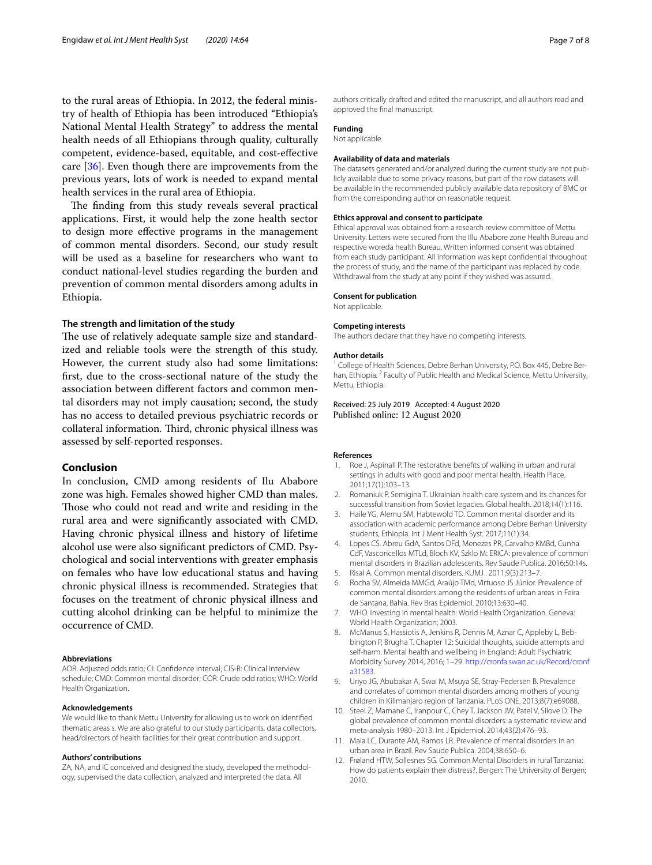to the rural areas of Ethiopia. In 2012, the federal ministry of health of Ethiopia has been introduced ''Ethiopia's National Mental Health Strategy'' to address the mental health needs of all Ethiopians through quality, culturally competent, evidence-based, equitable, and cost-efective care [[36\]](#page-7-23). Even though there are improvements from the previous years, lots of work is needed to expand mental health services in the rural area of Ethiopia.

The finding from this study reveals several practical applications. First, it would help the zone health sector to design more efective programs in the management of common mental disorders. Second, our study result will be used as a baseline for researchers who want to conduct national-level studies regarding the burden and prevention of common mental disorders among adults in Ethiopia.

# **The strength and limitation of the study**

The use of relatively adequate sample size and standardized and reliable tools were the strength of this study. However, the current study also had some limitations: frst, due to the cross-sectional nature of the study the association between diferent factors and common mental disorders may not imply causation; second, the study has no access to detailed previous psychiatric records or collateral information. Third, chronic physical illness was assessed by self-reported responses.

# **Conclusion**

In conclusion, CMD among residents of Ilu Ababore zone was high. Females showed higher CMD than males. Those who could not read and write and residing in the rural area and were signifcantly associated with CMD. Having chronic physical illness and history of lifetime alcohol use were also signifcant predictors of CMD. Psychological and social interventions with greater emphasis on females who have low educational status and having chronic physical illness is recommended. Strategies that focuses on the treatment of chronic physical illness and cutting alcohol drinking can be helpful to minimize the occurrence of CMD.

#### **Abbreviations**

AOR: Adjusted odds ratio; CI: Confdence interval; CIS-R: Clinical interview schedule; CMD: Common mental disorder; COR: Crude odd ratios; WHO: World Health Organization.

#### **Acknowledgements**

We would like to thank Mettu University for allowing us to work on identifed thematic areas s. We are also grateful to our study participants, data collectors, head/directors of health facilities for their great contribution and support.

#### **Authors' contributions**

ZA, NA, and IC conceived and designed the study, developed the methodology, supervised the data collection, analyzed and interpreted the data. All

authors critically drafted and edited the manuscript, and all authors read and approved the fnal manuscript.

# **Funding**

### Not applicable.

#### **Availability of data and materials**

The datasets generated and/or analyzed during the current study are not publicly available due to some privacy reasons, but part of the row datasets will be available in the recommended publicly available data repository of BMC or from the corresponding author on reasonable request.

#### **Ethics approval and consent to participate**

Ethical approval was obtained from a research review committee of Mettu University. Letters were secured from the Illu Ababore zone Health Bureau and respective woreda health Bureau. Written informed consent was obtained from each study participant. All information was kept confdential throughout the process of study, and the name of the participant was replaced by code. Withdrawal from the study at any point if they wished was assured.

#### **Consent for publication**

Not applicable.

#### **Competing interests**

The authors declare that they have no competing interests.

#### **Author details**

<sup>1</sup> College of Health Sciences, Debre Berhan University, P.O. Box 445, Debre Berhan, Ethiopia. <sup>2</sup> Faculty of Public Health and Medical Science, Mettu University, Mettu, Ethiopia.

Received: 25 July 2019 Accepted: 4 August 2020 Published online: 12 August 2020

#### **References**

- <span id="page-6-0"></span>1. Roe J, Aspinall P. The restorative benefts of walking in urban and rural settings in adults with good and poor mental health. Health Place. 2011;17(1):103–13.
- <span id="page-6-1"></span>2. Romaniuk P, Semigina T. Ukrainian health care system and its chances for successful transition from Soviet legacies. Global health. 2018;14(1):116.
- <span id="page-6-2"></span>3. Haile YG, Alemu SM, Habtewold TD. Common mental disorder and its association with academic performance among Debre Berhan University students, Ethiopia. Int J Ment Health Syst. 2017;11(1):34.
- <span id="page-6-3"></span>4. Lopes CS. Abreu GdA, Santos DFd, Menezes PR, Carvalho KMBd, Cunha CdF, Vasconcellos MTLd, Bloch KV, Szklo M: ERICA: prevalence of common mental disorders in Brazilian adolescents. Rev Saude Publica. 2016;50:14s.
- <span id="page-6-5"></span>5. Risal A. Common mental disorders. KUMJ . 2011;9(3):213–7.
- <span id="page-6-4"></span>6. Rocha SV, Almeida MMGd, Araújo TMd, Virtuoso JS Júnior. Prevalence of common mental disorders among the residents of urban areas in Feira de Santana, Bahia. Rev Bras Epidemiol. 2010;13:630–40.
- <span id="page-6-6"></span>7. WHO. Investing in mental health: World Health Organization. Geneva: World Health Organization; 2003.
- <span id="page-6-7"></span>8. McManus S, Hassiotis A, Jenkins R, Dennis M, Aznar C, Appleby L, Bebbington P, Brugha T. Chapter 12: Suicidal thoughts, suicide attempts and self-harm. Mental health and wellbeing in England: Adult Psychiatric Morbidity Survey 2014, 2016; 1–29. [http://cronfa.swan.ac.uk/Record/cronf](http://cronfa.swan.ac.uk/Record/cronfa31583) [a31583](http://cronfa.swan.ac.uk/Record/cronfa31583).
- <span id="page-6-8"></span>9. Uriyo JG, Abubakar A, Swai M, Msuya SE, Stray-Pedersen B. Prevalence and correlates of common mental disorders among mothers of young children in Kilimanjaro region of Tanzania. PLoS ONE. 2013;8(7):e69088.
- <span id="page-6-9"></span>10. Steel Z, Marnane C, Iranpour C, Chey T, Jackson JW, Patel V, Silove D. The global prevalence of common mental disorders: a systematic review and meta-analysis 1980–2013. Int J Epidemiol. 2014;43(2):476–93.
- <span id="page-6-10"></span>11. Maia LC, Durante AM, Ramos LR. Prevalence of mental disorders in an urban area in Brazil. Rev Saude Publica. 2004;38:650–6.
- <span id="page-6-11"></span>12. Frøland HTW, Sollesnes SG. Common Mental Disorders in rural Tanzania: How do patients explain their distress?. Bergen: The University of Bergen; 2010.